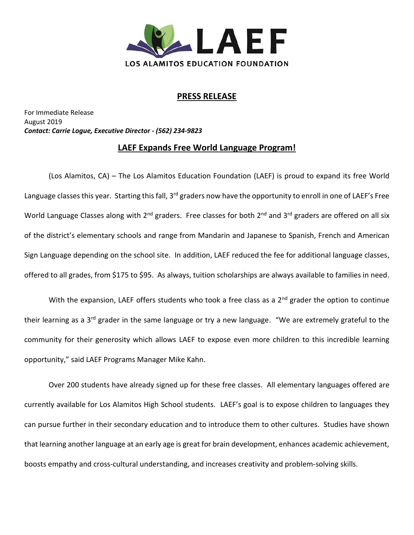

## **PRESS RELEASE**

For Immediate Release August 2019 *Contact: Carrie Logue, Executive Director - (562) 234-9823*

## **LAEF Expands Free World Language Program!**

(Los Alamitos, CA) – The Los Alamitos Education Foundation (LAEF) is proud to expand its free World Language classes this year. Starting this fall, 3<sup>rd</sup> graders now have the opportunity to enroll in one of LAEF's Free World Language Classes along with  $2^{nd}$  graders. Free classes for both  $2^{nd}$  and  $3^{rd}$  graders are offered on all six of the district's elementary schools and range from Mandarin and Japanese to Spanish, French and American Sign Language depending on the school site. In addition, LAEF reduced the fee for additional language classes, offered to all grades, from \$175 to \$95. As always, tuition scholarships are always available to families in need.

With the expansion, LAEF offers students who took a free class as a 2<sup>nd</sup> grader the option to continue their learning as a 3<sup>rd</sup> grader in the same language or try a new language. "We are extremely grateful to the community for their generosity which allows LAEF to expose even more children to this incredible learning opportunity," said LAEF Programs Manager Mike Kahn.

Over 200 students have already signed up for these free classes. All elementary languages offered are currently available for Los Alamitos High School students. LAEF's goal is to expose children to languages they can pursue further in their secondary education and to introduce them to other cultures. Studies have shown that learning another language at an early age is great for brain development, enhances academic achievement, boosts empathy and cross-cultural understanding, and increases creativity and problem-solving skills.